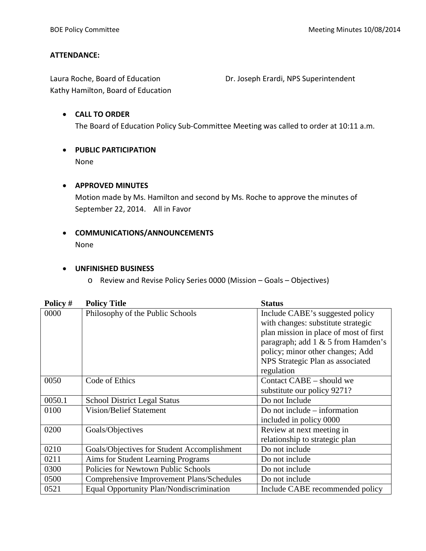## **ATTENDANCE:**

Laura Roche, Board of Education **Dr. Joseph Erardi, NPS Superintendent** Kathy Hamilton, Board of Education

- **CALL TO ORDER** The Board of Education Policy Sub-Committee Meeting was called to order at 10:11 a.m.
- **PUBLIC PARTICIPATION** None

#### • **APPROVED MINUTES**

Motion made by Ms. Hamilton and second by Ms. Roche to approve the minutes of September 22, 2014. All in Favor

• **COMMUNICATIONS/ANNOUNCEMENTS** None

#### • **UNFINISHED BUSINESS**

o Review and Revise Policy Series 0000 (Mission – Goals – Objectives)

| Policy # | <b>Policy Title</b>                         | <b>Status</b>                          |  |
|----------|---------------------------------------------|----------------------------------------|--|
| 0000     | Philosophy of the Public Schools            | Include CABE's suggested policy        |  |
|          |                                             | with changes: substitute strategic     |  |
|          |                                             | plan mission in place of most of first |  |
|          |                                             | paragraph; add 1 & 5 from Hamden's     |  |
|          |                                             | policy; minor other changes; Add       |  |
|          |                                             | NPS Strategic Plan as associated       |  |
|          |                                             | regulation                             |  |
| 0050     | Code of Ethics                              | Contact CABE – should we               |  |
|          |                                             | substitute our policy 9271?            |  |
| 0050.1   | <b>School District Legal Status</b>         | Do not Include                         |  |
| 0100     | <b>Vision/Belief Statement</b>              | Do not include $-$ information         |  |
|          |                                             | included in policy 0000                |  |
| 0200     | Goals/Objectives                            | Review at next meeting in              |  |
|          |                                             | relationship to strategic plan         |  |
| 0210     | Goals/Objectives for Student Accomplishment | Do not include                         |  |
| 0211     | Aims for Student Learning Programs          | Do not include                         |  |
| 0300     | Policies for Newtown Public Schools         | Do not include                         |  |
| 0500     | Comprehensive Improvement Plans/Schedules   | Do not include                         |  |
| 0521     | Equal Opportunity Plan/Nondiscrimination    | Include CABE recommended policy        |  |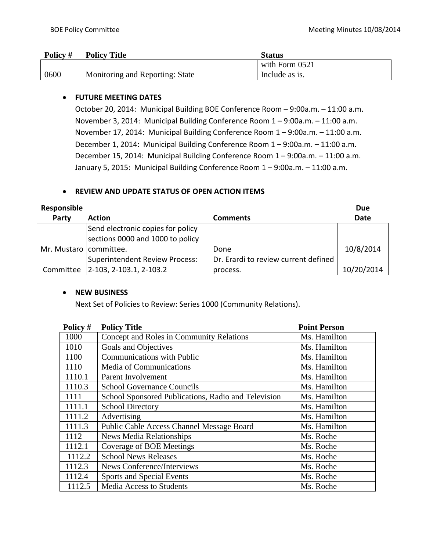| Policy # | <b>Policy Title</b>             | Status         |
|----------|---------------------------------|----------------|
|          |                                 | with Form 0521 |
| 0600     | Monitoring and Reporting: State | Include as is. |

## • **FUTURE MEETING DATES**

October 20, 2014: Municipal Building BOE Conference Room – 9:00a.m. – 11:00 a.m. November 3, 2014: Municipal Building Conference Room 1 – 9:00a.m. – 11:00 a.m. November 17, 2014: Municipal Building Conference Room 1 – 9:00a.m. – 11:00 a.m. December 1, 2014: Municipal Building Conference Room 1 – 9:00a.m. – 11:00 a.m. December 15, 2014: Municipal Building Conference Room 1 – 9:00a.m. – 11:00 a.m. January 5, 2015: Municipal Building Conference Room 1 – 9:00a.m. – 11:00 a.m.

#### • **REVIEW AND UPDATE STATUS OF OPEN ACTION ITEMS**

| Responsible            |                                     |                                      | <b>Due</b> |
|------------------------|-------------------------------------|--------------------------------------|------------|
| Party                  | <b>Action</b>                       | <b>Comments</b>                      | Date       |
|                        | Send electronic copies for policy   |                                      |            |
|                        | sections 0000 and 1000 to policy    |                                      |            |
| Mr. Mustaro committee. |                                     | Done                                 | 10/8/2014  |
|                        | Superintendent Review Process:      | Dr. Erardi to review current defined |            |
|                        | Committee   2-103, 2-103.1, 2-103.2 | process.                             | 10/20/2014 |

#### • **NEW BUSINESS**

Next Set of Policies to Review: Series 1000 (Community Relations).

| Policy # | <b>Policy Title</b>                                 | <b>Point Person</b> |
|----------|-----------------------------------------------------|---------------------|
| 1000     | Concept and Roles in Community Relations            | Ms. Hamilton        |
| 1010     | Goals and Objectives                                | Ms. Hamilton        |
| 1100     | <b>Communications with Public</b>                   | Ms. Hamilton        |
| 1110     | Media of Communications                             | Ms. Hamilton        |
| 1110.1   | Parent Involvement                                  | Ms. Hamilton        |
| 1110.3   | <b>School Governance Councils</b>                   | Ms. Hamilton        |
| 1111     | School Sponsored Publications, Radio and Television | Ms. Hamilton        |
| 1111.1   | <b>School Directory</b>                             | Ms. Hamilton        |
| 1111.2   | Advertising                                         | Ms. Hamilton        |
| 1111.3   | Public Cable Access Channel Message Board           | Ms. Hamilton        |
| 1112     | <b>News Media Relationships</b>                     | Ms. Roche           |
| 1112.1   | Coverage of BOE Meetings                            | Ms. Roche           |
| 1112.2   | <b>School News Releases</b>                         | Ms. Roche           |
| 1112.3   | <b>News Conference/Interviews</b>                   | Ms. Roche           |
| 1112.4   | Sports and Special Events                           | Ms. Roche           |
| 1112.5   | <b>Media Access to Students</b>                     | Ms. Roche           |